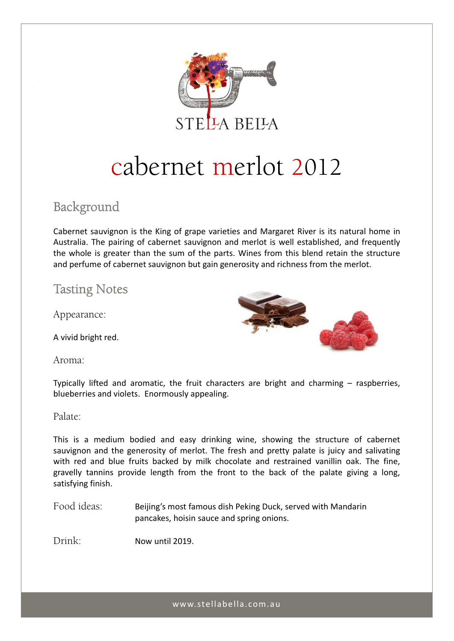

# cabernet merlot 2012

# Background

Cabernet sauvignon is the King of grape varieties and Margaret River is its natural home in Australia. The pairing of cabernet sauvignon and merlot is well established, and frequently the whole is greater than the sum of the parts. Wines from this blend retain the structure and perfume of cabernet sauvignon but gain generosity and richness from the merlot.

## Tasting Notes

Appearance:

A vivid bright red.

Aroma:



Typically lifted and aromatic, the fruit characters are bright and charming – raspberries, blueberries and violets. Enormously appealing.

### Palate:

This is a medium bodied and easy drinking wine, showing the structure of cabernet sauvignon and the generosity of merlot. The fresh and pretty palate is juicy and salivating with red and blue fruits backed by milk chocolate and restrained vanillin oak. The fine, gravelly tannins provide length from the front to the back of the palate giving a long, satisfying finish.

Food ideas: Beijing's most famous dish Peking Duck, served with Mandarin pancakes, hoisin sauce and spring onions.

Drink: Now until 2019.